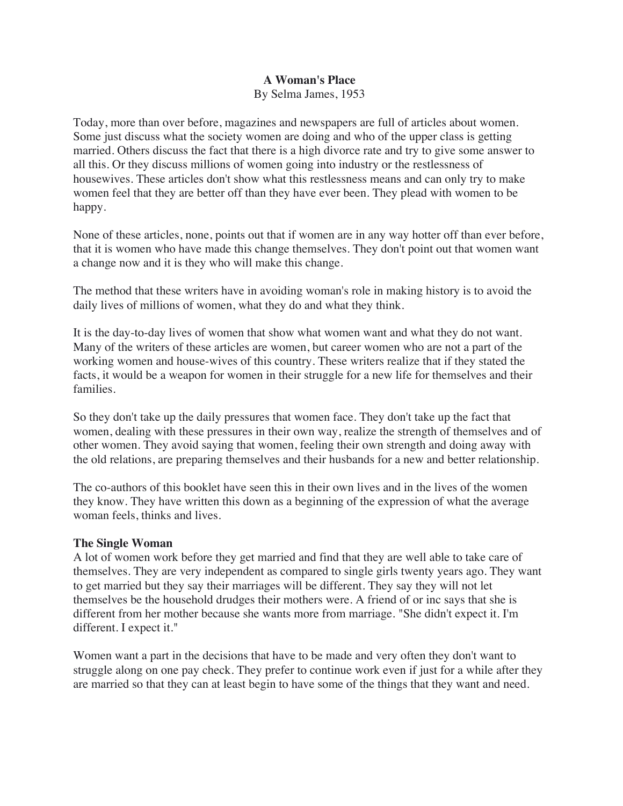# **A Woman's Place**

By Selma James, 1953

Today, more than over before, magazines and newspapers are full of articles about women. Some just discuss what the society women are doing and who of the upper class is getting married. Others discuss the fact that there is a high divorce rate and try to give some answer to all this. Or they discuss millions of women going into industry or the restlessness of housewives. These articles don't show what this restlessness means and can only try to make women feel that they are better off than they have ever been. They plead with women to be happy.

None of these articles, none, points out that if women are in any way hotter off than ever before, that it is women who have made this change themselves. They don't point out that women want a change now and it is they who will make this change.

The method that these writers have in avoiding woman's role in making history is to avoid the daily lives of millions of women, what they do and what they think.

It is the day-to-day lives of women that show what women want and what they do not want. Many of the writers of these articles are women, but career women who are not a part of the working women and house-wives of this country. These writers realize that if they stated the facts, it would be a weapon for women in their struggle for a new life for themselves and their families.

So they don't take up the daily pressures that women face. They don't take up the fact that women, dealing with these pressures in their own way, realize the strength of themselves and of other women. They avoid saying that women, feeling their own strength and doing away with the old relations, are preparing themselves and their husbands for a new and better relationship.

The co-authors of this booklet have seen this in their own lives and in the lives of the women they know. They have written this down as a beginning of the expression of what the average woman feels, thinks and lives.

# **The Single Woman**

A lot of women work before they get married and find that they are well able to take care of themselves. They are very independent as compared to single girls twenty years ago. They want to get married but they say their marriages will be different. They say they will not let themselves be the household drudges their mothers were. A friend of or inc says that she is different from her mother because she wants more from marriage. "She didn't expect it. I'm different. I expect it."

Women want a part in the decisions that have to be made and very often they don't want to struggle along on one pay check. They prefer to continue work even if just for a while after they are married so that they can at least begin to have some of the things that they want and need.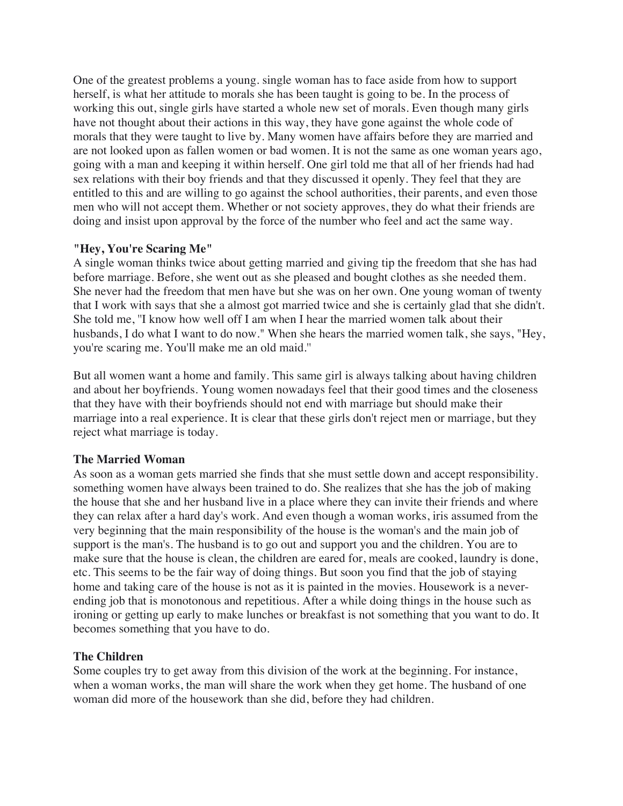One of the greatest problems a young. single woman has to face aside from how to support herself, is what her attitude to morals she has been taught is going to be. In the process of working this out, single girls have started a whole new set of morals. Even though many girls have not thought about their actions in this way, they have gone against the whole code of morals that they were taught to live by. Many women have affairs before they are married and are not looked upon as fallen women or bad women. It is not the same as one woman years ago, going with a man and keeping it within herself. One girl told me that all of her friends had had sex relations with their boy friends and that they discussed it openly. They feel that they are entitled to this and are willing to go against the school authorities, their parents, and even those men who will not accept them. Whether or not society approves, they do what their friends are doing and insist upon approval by the force of the number who feel and act the same way.

# **"Hey, You're Scaring Me"**

A single woman thinks twice about getting married and giving tip the freedom that she has had before marriage. Before, she went out as she pleased and bought clothes as she needed them. She never had the freedom that men have but she was on her own. One young woman of twenty that I work with says that she a almost got married twice and she is certainly glad that she didn't. She told me, ''I know how well off I am when I hear the married women talk about their husbands, I do what I want to do now." When she hears the married women talk, she says, "Hey, you're scaring me. You'll make me an old maid.''

But all women want a home and family. This same girl is always talking about having children and about her boyfriends. Young women nowadays feel that their good times and the closeness that they have with their boyfriends should not end with marriage but should make their marriage into a real experience. It is clear that these girls don't reject men or marriage, but they reject what marriage is today.

# **The Married Woman**

As soon as a woman gets married she finds that she must settle down and accept responsibility. something women have always been trained to do. She realizes that she has the job of making the house that she and her husband live in a place where they can invite their friends and where they can relax after a hard day's work. And even though a woman works, iris assumed from the very beginning that the main responsibility of the house is the woman's and the main job of support is the man's. The husband is to go out and support you and the children. You are to make sure that the house is clean, the children are eared for, meals are cooked, laundry is done, etc. This seems to be the fair way of doing things. But soon you find that the job of staying home and taking care of the house is not as it is painted in the movies. Housework is a neverending job that is monotonous and repetitious. After a while doing things in the house such as ironing or getting up early to make lunches or breakfast is not something that you want to do. It becomes something that you have to do.

# **The Children**

Some couples try to get away from this division of the work at the beginning. For instance, when a woman works, the man will share the work when they get home. The husband of one woman did more of the housework than she did, before they had children.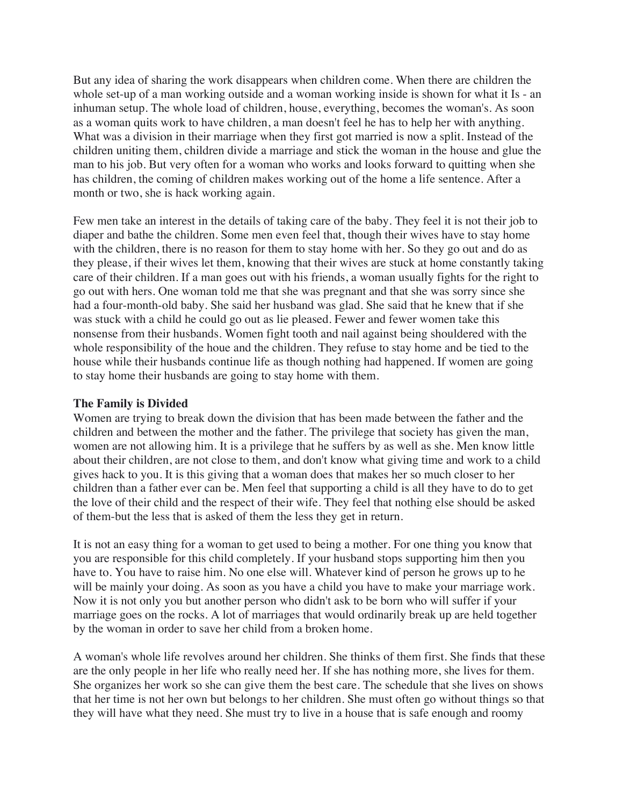But any idea of sharing the work disappears when children come. When there are children the whole set-up of a man working outside and a woman working inside is shown for what it Is - an inhuman setup. The whole load of children, house, everything, becomes the woman's. As soon as a woman quits work to have children, a man doesn't feel he has to help her with anything. What was a division in their marriage when they first got married is now a split. Instead of the children uniting them, children divide a marriage and stick the woman in the house and glue the man to his job. But very often for a woman who works and looks forward to quitting when she has children, the coming of children makes working out of the home a life sentence. After a month or two, she is hack working again.

Few men take an interest in the details of taking care of the baby. They feel it is not their job to diaper and bathe the children. Some men even feel that, though their wives have to stay home with the children, there is no reason for them to stay home with her. So they go out and do as they please, if their wives let them, knowing that their wives are stuck at home constantly taking care of their children. If a man goes out with his friends, a woman usually fights for the right to go out with hers. One woman told me that she was pregnant and that she was sorry since she had a four-month-old baby. She said her husband was glad. She said that he knew that if she was stuck with a child he could go out as lie pleased. Fewer and fewer women take this nonsense from their husbands. Women fight tooth and nail against being shouldered with the whole responsibility of the houe and the children. They refuse to stay home and be tied to the house while their husbands continue life as though nothing had happened. If women are going to stay home their husbands are going to stay home with them.

# **The Family is Divided**

Women are trying to break down the division that has been made between the father and the children and between the mother and the father. The privilege that society has given the man, women are not allowing him. It is a privilege that he suffers by as well as she. Men know little about their children, are not close to them, and don't know what giving time and work to a child gives hack to you. It is this giving that a woman does that makes her so much closer to her children than a father ever can be. Men feel that supporting a child is all they have to do to get the love of their child and the respect of their wife. They feel that nothing else should be asked of them-but the less that is asked of them the less they get in return.

It is not an easy thing for a woman to get used to being a mother. For one thing you know that you are responsible for this child completely. If your husband stops supporting him then you have to. You have to raise him. No one else will. Whatever kind of person he grows up to he will be mainly your doing. As soon as you have a child you have to make your marriage work. Now it is not only you but another person who didn't ask to be born who will suffer if your marriage goes on the rocks. A lot of marriages that would ordinarily break up are held together by the woman in order to save her child from a broken home.

A woman's whole life revolves around her children. She thinks of them first. She finds that these are the only people in her life who really need her. If she has nothing more, she lives for them. She organizes her work so she can give them the best care. The schedule that she lives on shows that her time is not her own but belongs to her children. She must often go without things so that they will have what they need. She must try to live in a house that is safe enough and roomy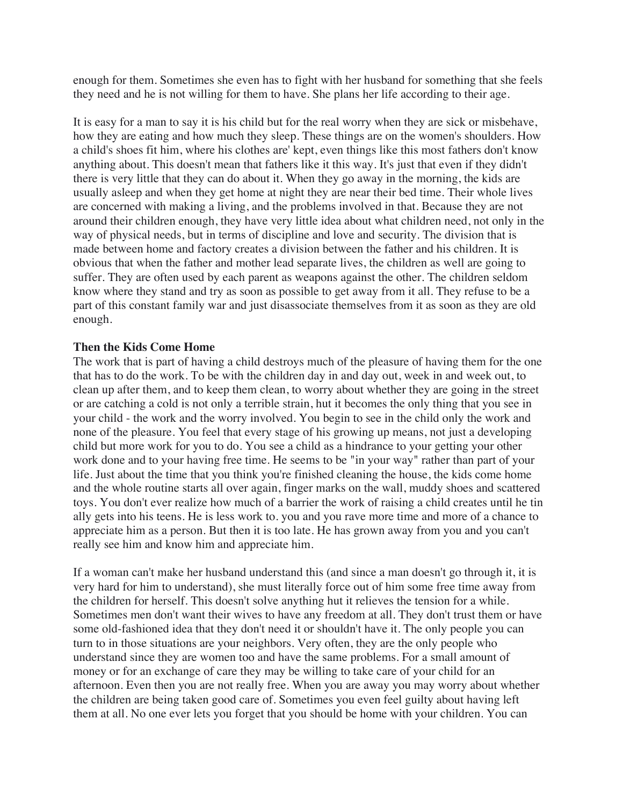enough for them. Sometimes she even has to fight with her husband for something that she feels they need and he is not willing for them to have. She plans her life according to their age.

It is easy for a man to say it is his child but for the real worry when they are sick or misbehave, how they are eating and how much they sleep. These things are on the women's shoulders. How a child's shoes fit him, where his clothes are' kept, even things like this most fathers don't know anything about. This doesn't mean that fathers like it this way. It's just that even if they didn't there is very little that they can do about it. When they go away in the morning, the kids are usually asleep and when they get home at night they are near their bed time. Their whole lives are concerned with making a living, and the problems involved in that. Because they are not around their children enough, they have very little idea about what children need, not only in the way of physical needs, but in terms of discipline and love and security. The division that is made between home and factory creates a division between the father and his children. It is obvious that when the father and mother lead separate lives, the children as well are going to suffer. They are often used by each parent as weapons against the other. The children seldom know where they stand and try as soon as possible to get away from it all. They refuse to be a part of this constant family war and just disassociate themselves from it as soon as they are old enough.

#### **Then the Kids Come Home**

The work that is part of having a child destroys much of the pleasure of having them for the one that has to do the work. To be with the children day in and day out, week in and week out, to clean up after them, and to keep them clean, to worry about whether they are going in the street or are catching a cold is not only a terrible strain, hut it becomes the only thing that you see in your child - the work and the worry involved. You begin to see in the child only the work and none of the pleasure. You feel that every stage of his growing up means, not just a developing child but more work for you to do. You see a child as a hindrance to your getting your other work done and to your having free time. He seems to be "in your way" rather than part of your life. Just about the time that you think you're finished cleaning the house, the kids come home and the whole routine starts all over again, finger marks on the wall, muddy shoes and scattered toys. You don't ever realize how much of a barrier the work of raising a child creates until he tin ally gets into his teens. He is less work to. you and you rave more time and more of a chance to appreciate him as a person. But then it is too late. He has grown away from you and you can't really see him and know him and appreciate him.

If a woman can't make her husband understand this (and since a man doesn't go through it, it is very hard for him to understand), she must literally force out of him some free time away from the children for herself. This doesn't solve anything hut it relieves the tension for a while. Sometimes men don't want their wives to have any freedom at all. They don't trust them or have some old-fashioned idea that they don't need it or shouldn't have it. The only people you can turn to in those situations are your neighbors. Very often, they are the only people who understand since they are women too and have the same problems. For a small amount of money or for an exchange of care they may be willing to take care of your child for an afternoon. Even then you are not really free. When you are away you may worry about whether the children are being taken good care of. Sometimes you even feel guilty about having left them at all. No one ever lets you forget that you should be home with your children. You can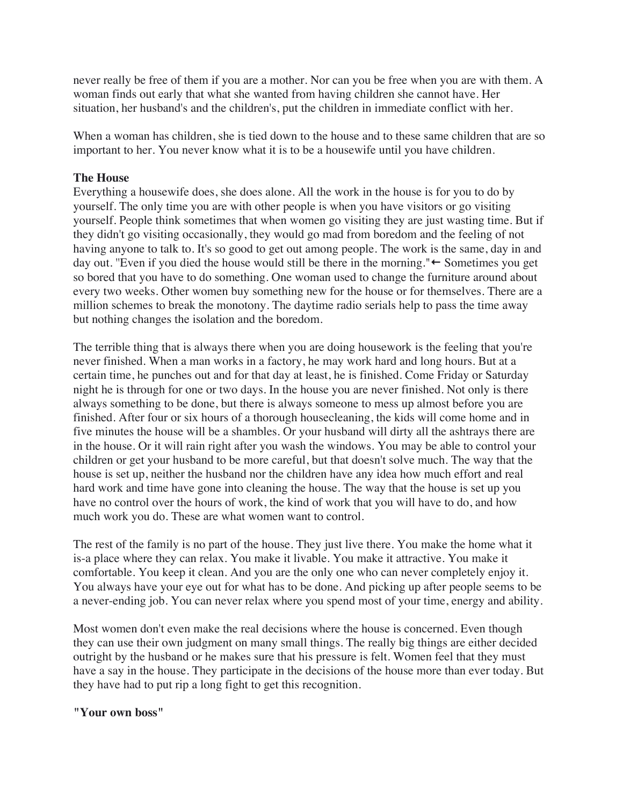never really be free of them if you are a mother. Nor can you be free when you are with them. A woman finds out early that what she wanted from having children she cannot have. Her situation, her husband's and the children's, put the children in immediate conflict with her.

When a woman has children, she is tied down to the house and to these same children that are so important to her. You never know what it is to be a housewife until you have children.

# **The House**

Everything a housewife does, she does alone. All the work in the house is for you to do by yourself. The only time you are with other people is when you have visitors or go visiting yourself. People think sometimes that when women go visiting they are just wasting time. But if they didn't go visiting occasionally, they would go mad from boredom and the feeling of not having anyone to talk to. It's so good to get out among people. The work is the same, day in and day out. "Even if you died the house would still be there in the morning." $\leftarrow$  Sometimes you get so bored that you have to do something. One woman used to change the furniture around about every two weeks. Other women buy something new for the house or for themselves. There are a million schemes to break the monotony. The daytime radio serials help to pass the time away but nothing changes the isolation and the boredom.

The terrible thing that is always there when you are doing housework is the feeling that you're never finished. When a man works in a factory, he may work hard and long hours. But at a certain time, he punches out and for that day at least, he is finished. Come Friday or Saturday night he is through for one or two days. In the house you are never finished. Not only is there always something to be done, but there is always someone to mess up almost before you are finished. After four or six hours of a thorough housecleaning, the kids will come home and in five minutes the house will be a shambles. Or your husband will dirty all the ashtrays there are in the house. Or it will rain right after you wash the windows. You may be able to control your children or get your husband to be more careful, but that doesn't solve much. The way that the house is set up, neither the husband nor the children have any idea how much effort and real hard work and time have gone into cleaning the house. The way that the house is set up you have no control over the hours of work, the kind of work that you will have to do, and how much work you do. These are what women want to control.

The rest of the family is no part of the house. They just live there. You make the home what it is-a place where they can relax. You make it livable. You make it attractive. You make it comfortable. You keep it clean. And you are the only one who can never completely enjoy it. You always have your eye out for what has to be done. And picking up after people seems to be a never-ending job. You can never relax where you spend most of your time, energy and ability.

Most women don't even make the real decisions where the house is concerned. Even though they can use their own judgment on many small things. The really big things are either decided outright by the husband or he makes sure that his pressure is felt. Women feel that they must have a say in the house. They participate in the decisions of the house more than ever today. But they have had to put rip a long fight to get this recognition.

# **"Your own boss"**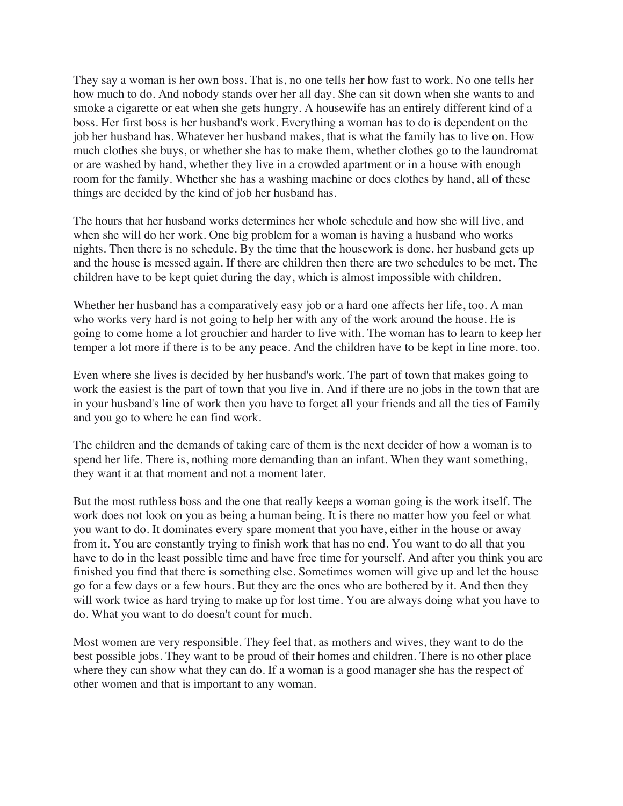They say a woman is her own boss. That is, no one tells her how fast to work. No one tells her how much to do. And nobody stands over her all day. She can sit down when she wants to and smoke a cigarette or eat when she gets hungry. A housewife has an entirely different kind of a boss. Her first boss is her husband's work. Everything a woman has to do is dependent on the job her husband has. Whatever her husband makes, that is what the family has to live on. How much clothes she buys, or whether she has to make them, whether clothes go to the laundromat or are washed by hand, whether they live in a crowded apartment or in a house with enough room for the family. Whether she has a washing machine or does clothes by hand, all of these things are decided by the kind of job her husband has.

The hours that her husband works determines her whole schedule and how she will live, and when she will do her work. One big problem for a woman is having a husband who works nights. Then there is no schedule. By the time that the housework is done. her husband gets up and the house is messed again. If there are children then there are two schedules to be met. The children have to be kept quiet during the day, which is almost impossible with children.

Whether her husband has a comparatively easy job or a hard one affects her life, too. A man who works very hard is not going to help her with any of the work around the house. He is going to come home a lot grouchier and harder to live with. The woman has to learn to keep her temper a lot more if there is to be any peace. And the children have to be kept in line more. too.

Even where she lives is decided by her husband's work. The part of town that makes going to work the easiest is the part of town that you live in. And if there are no jobs in the town that are in your husband's line of work then you have to forget all your friends and all the ties of Family and you go to where he can find work.

The children and the demands of taking care of them is the next decider of how a woman is to spend her life. There is, nothing more demanding than an infant. When they want something, they want it at that moment and not a moment later.

But the most ruthless boss and the one that really keeps a woman going is the work itself. The work does not look on you as being a human being. It is there no matter how you feel or what you want to do. It dominates every spare moment that you have, either in the house or away from it. You are constantly trying to finish work that has no end. You want to do all that you have to do in the least possible time and have free time for yourself. And after you think you are finished you find that there is something else. Sometimes women will give up and let the house go for a few days or a few hours. But they are the ones who are bothered by it. And then they will work twice as hard trying to make up for lost time. You are always doing what you have to do. What you want to do doesn't count for much.

Most women are very responsible. They feel that, as mothers and wives, they want to do the best possible jobs. They want to be proud of their homes and children. There is no other place where they can show what they can do. If a woman is a good manager she has the respect of other women and that is important to any woman.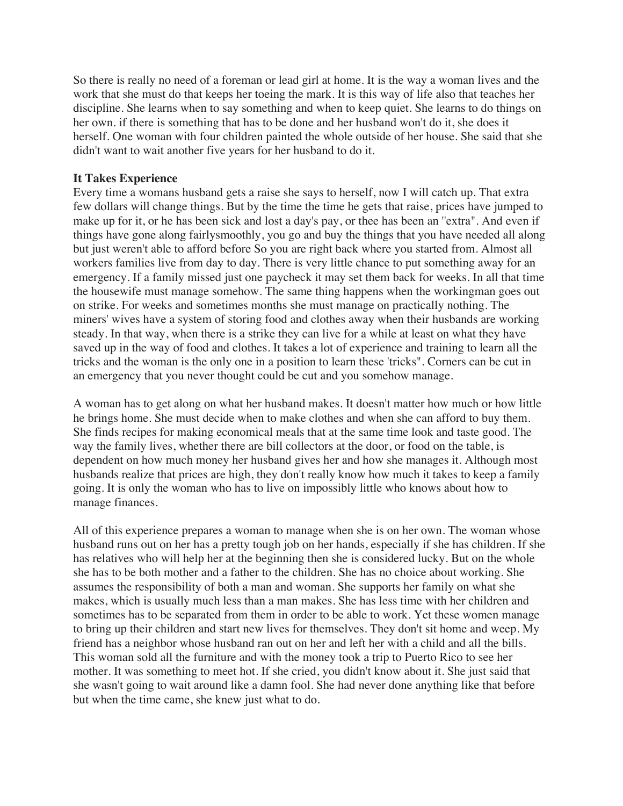So there is really no need of a foreman or lead girl at home. It is the way a woman lives and the work that she must do that keeps her toeing the mark. It is this way of life also that teaches her discipline. She learns when to say something and when to keep quiet. She learns to do things on her own. if there is something that has to be done and her husband won't do it, she does it herself. One woman with four children painted the whole outside of her house. She said that she didn't want to wait another five years for her husband to do it.

#### **It Takes Experience**

Every time a womans husband gets a raise she says to herself, now I will catch up. That extra few dollars will change things. But by the time the time he gets that raise, prices have jumped to make up for it, or he has been sick and lost a day's pay, or thee has been an ''extra". And even if things have gone along fairlysmoothly, you go and buy the things that you have needed all along but just weren't able to afford before So you are right back where you started from. Almost all workers families live from day to day. There is very little chance to put something away for an emergency. If a family missed just one paycheck it may set them back for weeks. In all that time the housewife must manage somehow. The same thing happens when the workingman goes out on strike. For weeks and sometimes months she must manage on practically nothing. The miners' wives have a system of storing food and clothes away when their husbands are working steady. In that way, when there is a strike they can live for a while at least on what they have saved up in the way of food and clothes. It takes a lot of experience and training to learn all the tricks and the woman is the only one in a position to learn these 'tricks". Corners can be cut in an emergency that you never thought could be cut and you somehow manage.

A woman has to get along on what her husband makes. It doesn't matter how much or how little he brings home. She must decide when to make clothes and when she can afford to buy them. She finds recipes for making economical meals that at the same time look and taste good. The way the family lives, whether there are bill collectors at the door, or food on the table, is dependent on how much money her husband gives her and how she manages it. Although most husbands realize that prices are high, they don't really know how much it takes to keep a family going. It is only the woman who has to live on impossibly little who knows about how to manage finances.

All of this experience prepares a woman to manage when she is on her own. The woman whose husband runs out on her has a pretty tough job on her hands, especially if she has children. If she has relatives who will help her at the beginning then she is considered lucky. But on the whole she has to be both mother and a father to the children. She has no choice about working. She assumes the responsibility of both a man and woman. She supports her family on what she makes, which is usually much less than a man makes. She has less time with her children and sometimes has to be separated from them in order to be able to work. Yet these women manage to bring up their children and start new lives for themselves. They don't sit home and weep. My friend has a neighbor whose husband ran out on her and left her with a child and all the bills. This woman sold all the furniture and with the money took a trip to Puerto Rico to see her mother. It was something to meet hot. If she cried, you didn't know about it. She just said that she wasn't going to wait around like a damn fool. She had never done anything like that before but when the time came, she knew just what to do.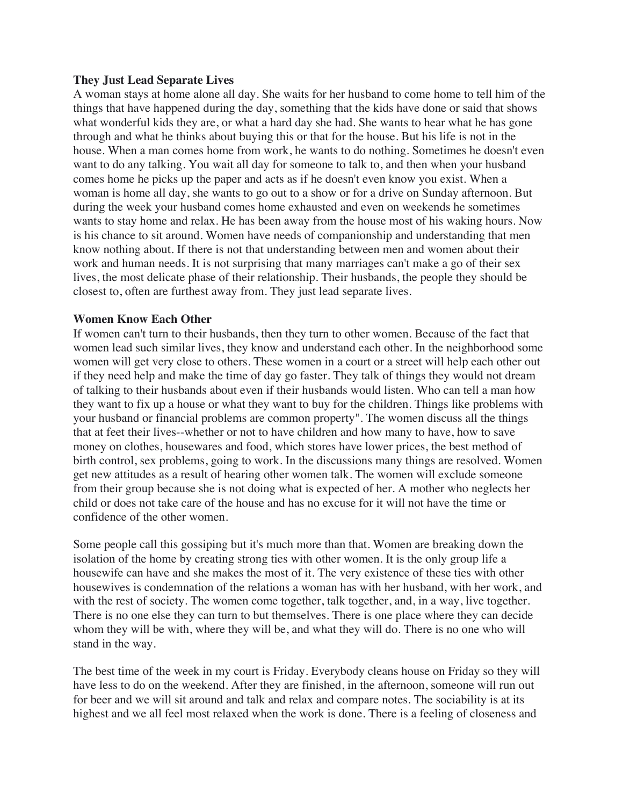#### **They Just Lead Separate Lives**

A woman stays at home alone all day. She waits for her husband to come home to tell him of the things that have happened during the day, something that the kids have done or said that shows what wonderful kids they are, or what a hard day she had. She wants to hear what he has gone through and what he thinks about buying this or that for the house. But his life is not in the house. When a man comes home from work, he wants to do nothing. Sometimes he doesn't even want to do any talking. You wait all day for someone to talk to, and then when your husband comes home he picks up the paper and acts as if he doesn't even know you exist. When a woman is home all day, she wants to go out to a show or for a drive on Sunday afternoon. But during the week your husband comes home exhausted and even on weekends he sometimes wants to stay home and relax. He has been away from the house most of his waking hours. Now is his chance to sit around. Women have needs of companionship and understanding that men know nothing about. If there is not that understanding between men and women about their work and human needs. It is not surprising that many marriages can't make a go of their sex lives, the most delicate phase of their relationship. Their husbands, the people they should be closest to, often are furthest away from. They just lead separate lives.

# **Women Know Each Other**

If women can't turn to their husbands, then they turn to other women. Because of the fact that women lead such similar lives, they know and understand each other. In the neighborhood some women will get very close to others. These women in a court or a street will help each other out if they need help and make the time of day go faster. They talk of things they would not dream of talking to their husbands about even if their husbands would listen. Who can tell a man how they want to fix up a house or what they want to buy for the children. Things like problems with your husband or financial problems are common property". The women discuss all the things that at feet their lives--whether or not to have children and how many to have, how to save money on clothes, housewares and food, which stores have lower prices, the best method of birth control, sex problems, going to work. In the discussions many things are resolved. Women get new attitudes as a result of hearing other women talk. The women will exclude someone from their group because she is not doing what is expected of her. A mother who neglects her child or does not take care of the house and has no excuse for it will not have the time or confidence of the other women.

Some people call this gossiping but it's much more than that. Women are breaking down the isolation of the home by creating strong ties with other women. It is the only group life a housewife can have and she makes the most of it. The very existence of these ties with other housewives is condemnation of the relations a woman has with her husband, with her work, and with the rest of society. The women come together, talk together, and, in a way, live together. There is no one else they can turn to but themselves. There is one place where they can decide whom they will be with, where they will be, and what they will do. There is no one who will stand in the way.

The best time of the week in my court is Friday. Everybody cleans house on Friday so they will have less to do on the weekend. After they are finished, in the afternoon, someone will run out for beer and we will sit around and talk and relax and compare notes. The sociability is at its highest and we all feel most relaxed when the work is done. There is a feeling of closeness and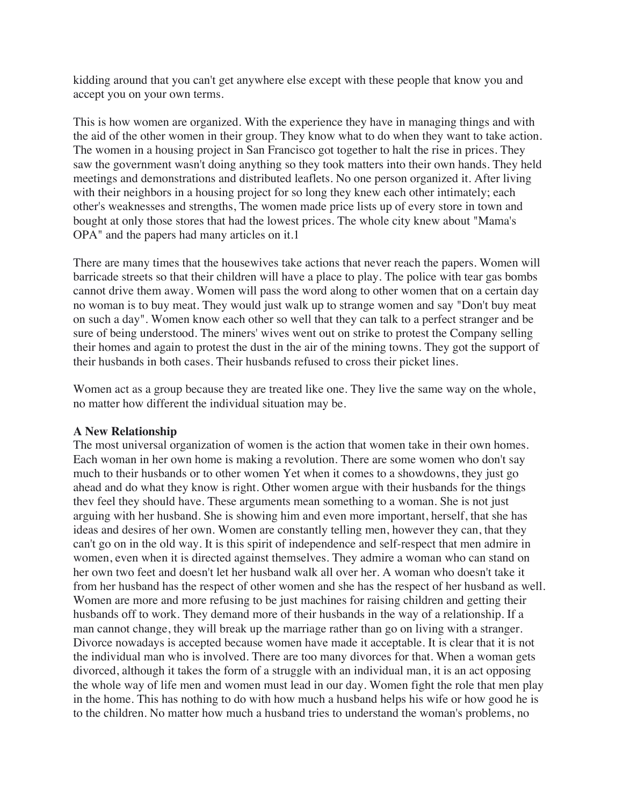kidding around that you can't get anywhere else except with these people that know you and accept you on your own terms.

This is how women are organized. With the experience they have in managing things and with the aid of the other women in their group. They know what to do when they want to take action. The women in a housing project in San Francisco got together to halt the rise in prices. They saw the government wasn't doing anything so they took matters into their own hands. They held meetings and demonstrations and distributed leaflets. No one person organized it. After living with their neighbors in a housing project for so long they knew each other intimately; each other's weaknesses and strengths, The women made price lists up of every store in town and bought at only those stores that had the lowest prices. The whole city knew about "Mama's OPA" and the papers had many articles on it.1

There are many times that the housewives take actions that never reach the papers. Women will barricade streets so that their children will have a place to play. The police with tear gas bombs cannot drive them away. Women will pass the word along to other women that on a certain day no woman is to buy meat. They would just walk up to strange women and say "Don't buy meat on such a day". Women know each other so well that they can talk to a perfect stranger and be sure of being understood. The miners' wives went out on strike to protest the Company selling their homes and again to protest the dust in the air of the mining towns. They got the support of their husbands in both cases. Their husbands refused to cross their picket lines.

Women act as a group because they are treated like one. They live the same way on the whole, no matter how different the individual situation may be.

# **A New Relationship**

The most universal organization of women is the action that women take in their own homes. Each woman in her own home is making a revolution. There are some women who don't say much to their husbands or to other women Yet when it comes to a showdowns, they just go ahead and do what they know is right. Other women argue with their husbands for the things thev feel they should have. These arguments mean something to a woman. She is not just arguing with her husband. She is showing him and even more important, herself, that she has ideas and desires of her own. Women are constantly telling men, however they can, that they can't go on in the old way. It is this spirit of independence and self-respect that men admire in women, even when it is directed against themselves. They admire a woman who can stand on her own two feet and doesn't let her husband walk all over her. A woman who doesn't take it from her husband has the respect of other women and she has the respect of her husband as well. Women are more and more refusing to be just machines for raising children and getting their husbands off to work. They demand more of their husbands in the way of a relationship. If a man cannot change, they will break up the marriage rather than go on living with a stranger. Divorce nowadays is accepted because women have made it acceptable. It is clear that it is not the individual man who is involved. There are too many divorces for that. When a woman gets divorced, although it takes the form of a struggle with an individual man, it is an act opposing the whole way of life men and women must lead in our day. Women fight the role that men play in the home. This has nothing to do with how much a husband helps his wife or how good he is to the children. No matter how much a husband tries to understand the woman's problems, no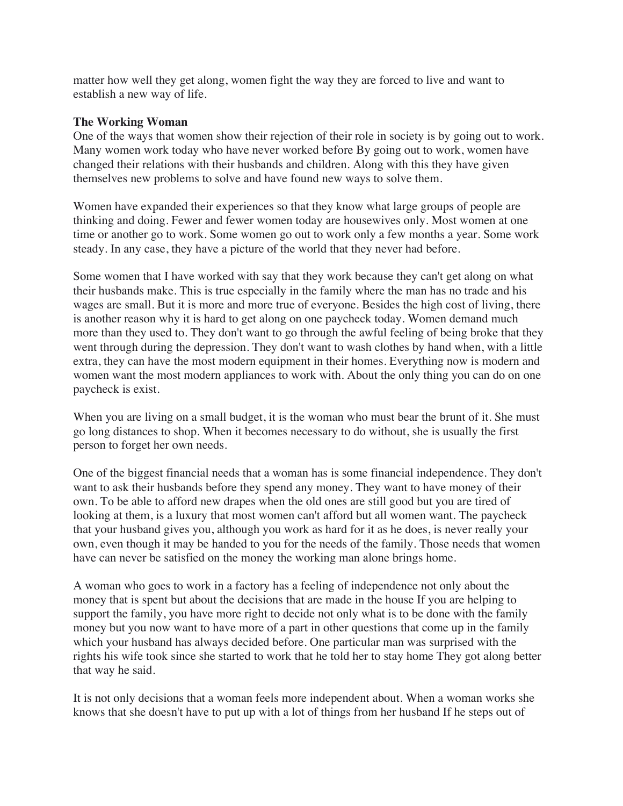matter how well they get along, women fight the way they are forced to live and want to establish a new way of life.

# **The Working Woman**

One of the ways that women show their rejection of their role in society is by going out to work. Many women work today who have never worked before By going out to work, women have changed their relations with their husbands and children. Along with this they have given themselves new problems to solve and have found new ways to solve them.

Women have expanded their experiences so that they know what large groups of people are thinking and doing. Fewer and fewer women today are housewives only. Most women at one time or another go to work. Some women go out to work only a few months a year. Some work steady. In any case, they have a picture of the world that they never had before.

Some women that I have worked with say that they work because they can't get along on what their husbands make. This is true especially in the family where the man has no trade and his wages are small. But it is more and more true of everyone. Besides the high cost of living, there is another reason why it is hard to get along on one paycheck today. Women demand much more than they used to. They don't want to go through the awful feeling of being broke that they went through during the depression. They don't want to wash clothes by hand when, with a little extra, they can have the most modern equipment in their homes. Everything now is modern and women want the most modern appliances to work with. About the only thing you can do on one paycheck is exist.

When you are living on a small budget, it is the woman who must bear the brunt of it. She must go long distances to shop. When it becomes necessary to do without, she is usually the first person to forget her own needs.

One of the biggest financial needs that a woman has is some financial independence. They don't want to ask their husbands before they spend any money. They want to have money of their own. To be able to afford new drapes when the old ones are still good but you are tired of looking at them, is a luxury that most women can't afford but all women want. The paycheck that your husband gives you, although you work as hard for it as he does, is never really your own, even though it may be handed to you for the needs of the family. Those needs that women have can never be satisfied on the money the working man alone brings home.

A woman who goes to work in a factory has a feeling of independence not only about the money that is spent but about the decisions that are made in the house If you are helping to support the family, you have more right to decide not only what is to be done with the family money but you now want to have more of a part in other questions that come up in the family which your husband has always decided before. One particular man was surprised with the rights his wife took since she started to work that he told her to stay home They got along better that way he said.

It is not only decisions that a woman feels more independent about. When a woman works she knows that she doesn't have to put up with a lot of things from her husband If he steps out of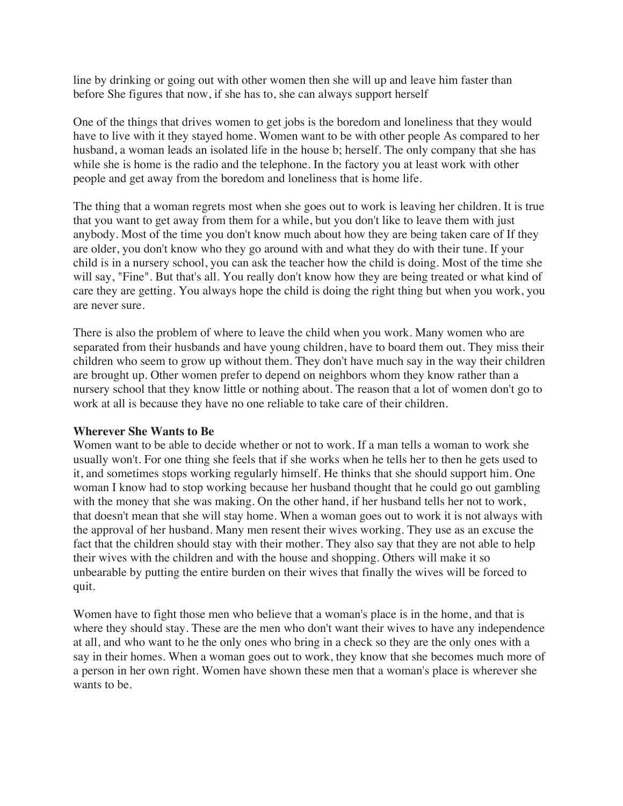line by drinking or going out with other women then she will up and leave him faster than before She figures that now, if she has to, she can always support herself

One of the things that drives women to get jobs is the boredom and loneliness that they would have to live with it they stayed home. Women want to be with other people As compared to her husband, a woman leads an isolated life in the house b; herself. The only company that she has while she is home is the radio and the telephone. In the factory you at least work with other people and get away from the boredom and loneliness that is home life.

The thing that a woman regrets most when she goes out to work is leaving her children. It is true that you want to get away from them for a while, but you don't like to leave them with just anybody. Most of the time you don't know much about how they are being taken care of If they are older, you don't know who they go around with and what they do with their tune. If your child is in a nursery school, you can ask the teacher how the child is doing. Most of the time she will say, "Fine". But that's all. You really don't know how they are being treated or what kind of care they are getting. You always hope the child is doing the right thing but when you work, you are never sure.

There is also the problem of where to leave the child when you work. Many women who are separated from their husbands and have young children, have to board them out. They miss their children who seem to grow up without them. They don't have much say in the way their children are brought up. Other women prefer to depend on neighbors whom they know rather than a nursery school that they know little or nothing about. The reason that a lot of women don't go to work at all is because they have no one reliable to take care of their children.

# **Wherever She Wants to Be**

Women want to be able to decide whether or not to work. If a man tells a woman to work she usually won't. For one thing she feels that if she works when he tells her to then he gets used to it, and sometimes stops working regularly himself. He thinks that she should support him. One woman I know had to stop working because her husband thought that he could go out gambling with the money that she was making. On the other hand, if her husband tells her not to work, that doesn't mean that she will stay home. When a woman goes out to work it is not always with the approval of her husband. Many men resent their wives working. They use as an excuse the fact that the children should stay with their mother. They also say that they are not able to help their wives with the children and with the house and shopping. Others will make it so unbearable by putting the entire burden on their wives that finally the wives will be forced to quit.

Women have to fight those men who believe that a woman's place is in the home, and that is where they should stay. These are the men who don't want their wives to have any independence at all, and who want to he the only ones who bring in a check so they are the only ones with a say in their homes. When a woman goes out to work, they know that she becomes much more of a person in her own right. Women have shown these men that a woman's place is wherever she wants to be.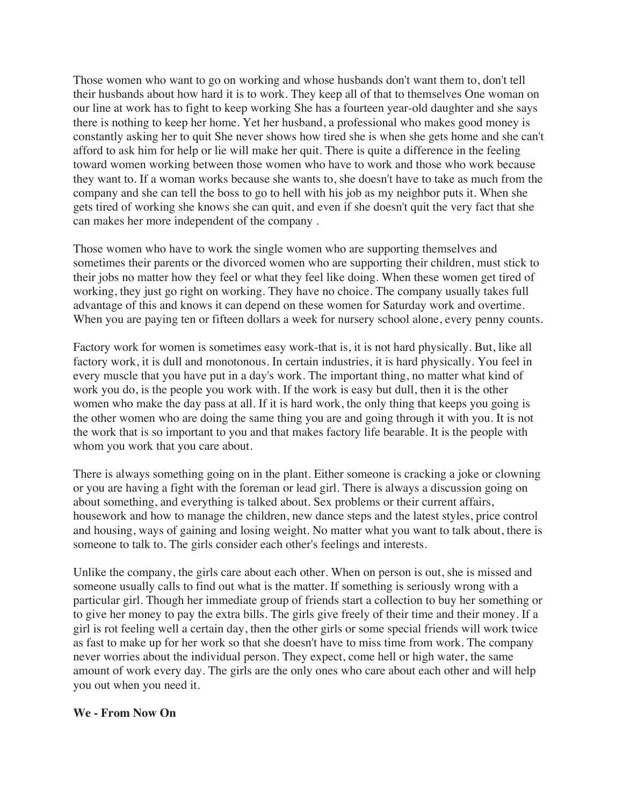Those women who want to go on working and whose husbands don't want them to, don't tell their husbands about how hard it is to work. They keep all of that to themselves One woman on our line at work has to fight to keep working She has a fourteen year-old daughter and she says there is nothing to keep her home. Yet her husband, a professional who makes good money is constantly asking her to quit She never shows how tired she is when she gets home and she can't afford to ask him for help or lie will make her quit. There is quite a difference in the feeling toward women working between those women who have to work and those who work because they want to. If a woman works because she wants to, she doesn't have to take as much from the company and she can tell the boss to go to hell with his job as my neighbor puts it. When she gets tired of working she knows she can quit, and even if she doesn't quit the very fact that she can makes her more independent of the company .

Those women who have to work the single women who are supporting themselves and sometimes their parents or the divorced women who are supporting their children, must stick to their jobs no matter how they feel or what they feel like doing. When these women get tired of working, they just go right on working. They have no choice. The company usually takes full advantage of this and knows it can depend on these women for Saturday work and overtime. When you are paying ten or fifteen dollars a week for nursery school alone, every penny counts.

Factory work for women is sometimes easy work-that is, it is not hard physically. But, like all factory work, it is dull and monotonous. In certain industries, it is hard physically. You feel in every muscle that you have put in a day's work. The important thing, no matter what kind of work you do, is the people you work with. If the work is easy but dull, then it is the other women who make the day pass at all. If it is hard work, the only thing that keeps you going is the other women who are doing the same thing you are and going through it with you. It is not the work that is so important to you and that makes factory life bearable. It is the people with whom you work that you care about.

There is always something going on in the plant. Either someone is cracking a joke or clowning or you are having a fight with the foreman or lead girl. There is always a discussion going on about something, and everything is talked about. Sex problems or their current affairs, housework and how to manage the children, new dance steps and the latest styles, price control and housing, ways of gaining and losing weight. No matter what you want to talk about, there is someone to talk to. The girls consider each other's feelings and interests.

Unlike the company, the girls care about each other. When on person is out, she is missed and someone usually calls to find out what is the matter. If something is seriously wrong with a particular girl. Though her immediate group of friends start a collection to buy her something or to give her money to pay the extra bills. The girls give freely of their time and their money. If a girl is rot feeling well a certain day, then the other girls or some special friends will work twice as fast to make up for her work so that she doesn't have to miss time from work. The company never worries about the individual person. They expect, come hell or high water, the same amount of work every day. The girls are the only ones who care about each other and will help you out when you need it.

# **We - From Now On**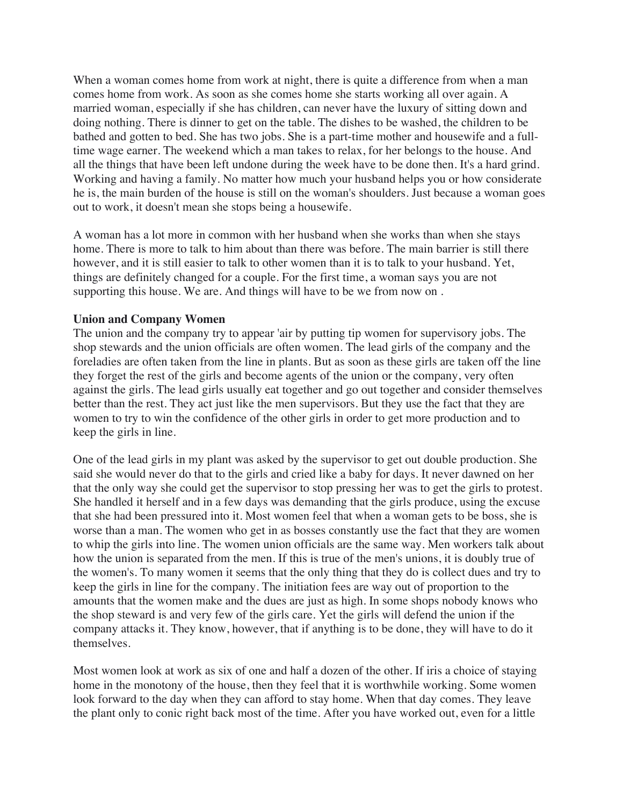When a woman comes home from work at night, there is quite a difference from when a man comes home from work. As soon as she comes home she starts working all over again. A married woman, especially if she has children, can never have the luxury of sitting down and doing nothing. There is dinner to get on the table. The dishes to be washed, the children to be bathed and gotten to bed. She has two jobs. She is a part-time mother and housewife and a fulltime wage earner. The weekend which a man takes to relax, for her belongs to the house. And all the things that have been left undone during the week have to be done then. It's a hard grind. Working and having a family. No matter how much your husband helps you or how considerate he is, the main burden of the house is still on the woman's shoulders. Just because a woman goes out to work, it doesn't mean she stops being a housewife.

A woman has a lot more in common with her husband when she works than when she stays home. There is more to talk to him about than there was before. The main barrier is still there however, and it is still easier to talk to other women than it is to talk to your husband. Yet, things are definitely changed for a couple. For the first time, a woman says you are not supporting this house. We are. And things will have to be we from now on .

# **Union and Company Women**

The union and the company try to appear 'air by putting tip women for supervisory jobs. The shop stewards and the union officials are often women. The lead girls of the company and the foreladies are often taken from the line in plants. But as soon as these girls are taken off the line they forget the rest of the girls and become agents of the union or the company, very often against the girls. The lead girls usually eat together and go out together and consider themselves better than the rest. They act just like the men supervisors. But they use the fact that they are women to try to win the confidence of the other girls in order to get more production and to keep the girls in line.

One of the lead girls in my plant was asked by the supervisor to get out double production. She said she would never do that to the girls and cried like a baby for days. It never dawned on her that the only way she could get the supervisor to stop pressing her was to get the girls to protest. She handled it herself and in a few days was demanding that the girls produce, using the excuse that she had been pressured into it. Most women feel that when a woman gets to be boss, she is worse than a man. The women who get in as bosses constantly use the fact that they are women to whip the girls into line. The women union officials are the same way. Men workers talk about how the union is separated from the men. If this is true of the men's unions, it is doubly true of the women's. To many women it seems that the only thing that they do is collect dues and try to keep the girls in line for the company. The initiation fees are way out of proportion to the amounts that the women make and the dues are just as high. In some shops nobody knows who the shop steward is and very few of the girls care. Yet the girls will defend the union if the company attacks it. They know, however, that if anything is to be done, they will have to do it themselves.

Most women look at work as six of one and half a dozen of the other. If iris a choice of staying home in the monotony of the house, then they feel that it is worthwhile working. Some women look forward to the day when they can afford to stay home. When that day comes. They leave the plant only to conic right back most of the time. After you have worked out, even for a little